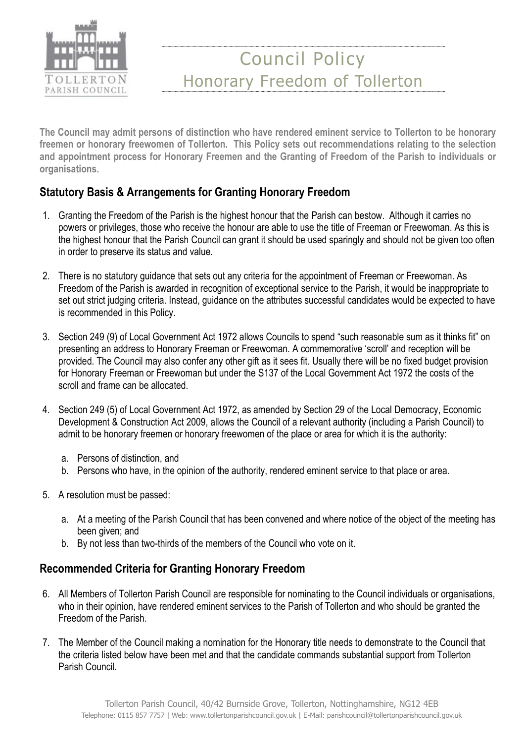

The Council may admit persons of distinction who have rendered eminent service to Tollerton to be honorary freemen or honorary freewomen of Tollerton. This Policy sets out recommendations relating to the selection and appointment process for Honorary Freemen and the Granting of Freedom of the Parish to individuals or organisations.

### Statutory Basis & Arrangements for Granting Honorary Freedom

- 1. Granting the Freedom of the Parish is the highest honour that the Parish can bestow. Although it carries no powers or privileges, those who receive the honour are able to use the title of Freeman or Freewoman. As this is the highest honour that the Parish Council can grant it should be used sparingly and should not be given too often in order to preserve its status and value.
- 2. There is no statutory guidance that sets out any criteria for the appointment of Freeman or Freewoman. As Freedom of the Parish is awarded in recognition of exceptional service to the Parish, it would be inappropriate to set out strict judging criteria. Instead, guidance on the attributes successful candidates would be expected to have is recommended in this Policy.
- 3. Section 249 (9) of Local Government Act 1972 allows Councils to spend "such reasonable sum as it thinks fit" on presenting an address to Honorary Freeman or Freewoman. A commemorative 'scroll' and reception will be provided. The Council may also confer any other gift as it sees fit. Usually there will be no fixed budget provision for Honorary Freeman or Freewoman but under the S137 of the Local Government Act 1972 the costs of the scroll and frame can be allocated.
- 4. Section 249 (5) of Local Government Act 1972, as amended by Section 29 of the Local Democracy, Economic Development & Construction Act 2009, allows the Council of a relevant authority (including a Parish Council) to admit to be honorary freemen or honorary freewomen of the place or area for which it is the authority:
	- a. Persons of distinction, and
	- b. Persons who have, in the opinion of the authority, rendered eminent service to that place or area.
- 5. A resolution must be passed:
	- a. At a meeting of the Parish Council that has been convened and where notice of the object of the meeting has been given; and
	- b. By not less than two-thirds of the members of the Council who vote on it.

### Recommended Criteria for Granting Honorary Freedom

- 6. All Members of Tollerton Parish Council are responsible for nominating to the Council individuals or organisations, who in their opinion, have rendered eminent services to the Parish of Tollerton and who should be granted the Freedom of the Parish.
- 7. The Member of the Council making a nomination for the Honorary title needs to demonstrate to the Council that the criteria listed below have been met and that the candidate commands substantial support from Tollerton Parish Council.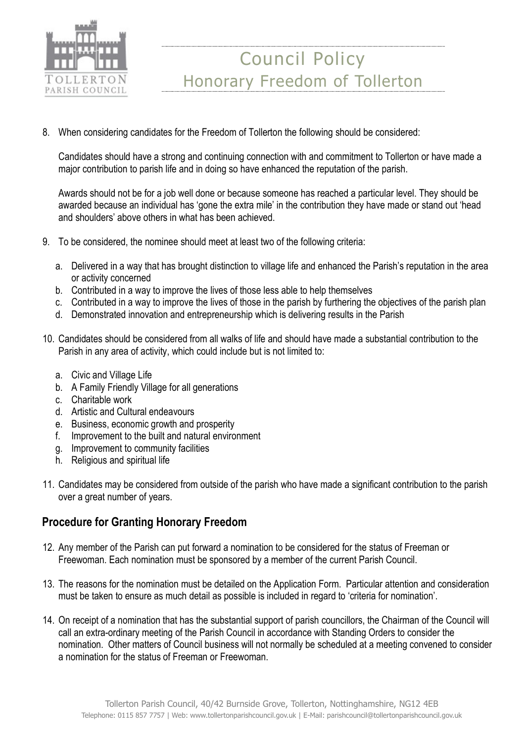

8. When considering candidates for the Freedom of Tollerton the following should be considered:

Candidates should have a strong and continuing connection with and commitment to Tollerton or have made a major contribution to parish life and in doing so have enhanced the reputation of the parish.

Awards should not be for a job well done or because someone has reached a particular level. They should be awarded because an individual has 'gone the extra mile' in the contribution they have made or stand out 'head and shoulders' above others in what has been achieved.

- 9. To be considered, the nominee should meet at least two of the following criteria:
	- a. Delivered in a way that has brought distinction to village life and enhanced the Parish's reputation in the area or activity concerned
	- b. Contributed in a way to improve the lives of those less able to help themselves
	- c. Contributed in a way to improve the lives of those in the parish by furthering the objectives of the parish plan
	- d. Demonstrated innovation and entrepreneurship which is delivering results in the Parish
- 10. Candidates should be considered from all walks of life and should have made a substantial contribution to the Parish in any area of activity, which could include but is not limited to:
	- a. Civic and Village Life
	- b. A Family Friendly Village for all generations
	- c. Charitable work
	- d. Artistic and Cultural endeavours
	- e. Business, economic growth and prosperity
	- f. Improvement to the built and natural environment
	- g. Improvement to community facilities
	- h. Religious and spiritual life
- 11. Candidates may be considered from outside of the parish who have made a significant contribution to the parish over a great number of years.

#### Procedure for Granting Honorary Freedom

- 12. Any member of the Parish can put forward a nomination to be considered for the status of Freeman or Freewoman. Each nomination must be sponsored by a member of the current Parish Council.
- 13. The reasons for the nomination must be detailed on the Application Form. Particular attention and consideration must be taken to ensure as much detail as possible is included in regard to 'criteria for nomination'.
- 14. On receipt of a nomination that has the substantial support of parish councillors, the Chairman of the Council will call an extra-ordinary meeting of the Parish Council in accordance with Standing Orders to consider the nomination. Other matters of Council business will not normally be scheduled at a meeting convened to consider a nomination for the status of Freeman or Freewoman.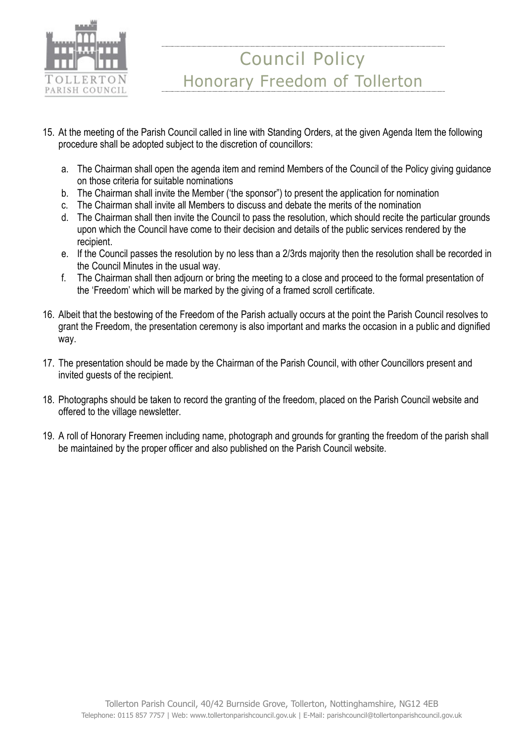

- 15. At the meeting of the Parish Council called in line with Standing Orders, at the given Agenda Item the following procedure shall be adopted subject to the discretion of councillors:
	- a. The Chairman shall open the agenda item and remind Members of the Council of the Policy giving guidance on those criteria for suitable nominations
	- b. The Chairman shall invite the Member ('the sponsor") to present the application for nomination
	- c. The Chairman shall invite all Members to discuss and debate the merits of the nomination
	- d. The Chairman shall then invite the Council to pass the resolution, which should recite the particular grounds upon which the Council have come to their decision and details of the public services rendered by the recipient.
	- e. If the Council passes the resolution by no less than a 2/3rds majority then the resolution shall be recorded in the Council Minutes in the usual way.
	- f. The Chairman shall then adjourn or bring the meeting to a close and proceed to the formal presentation of the 'Freedom' which will be marked by the giving of a framed scroll certificate.
- 16. Albeit that the bestowing of the Freedom of the Parish actually occurs at the point the Parish Council resolves to grant the Freedom, the presentation ceremony is also important and marks the occasion in a public and dignified way.
- 17. The presentation should be made by the Chairman of the Parish Council, with other Councillors present and invited guests of the recipient.
- 18. Photographs should be taken to record the granting of the freedom, placed on the Parish Council website and offered to the village newsletter.
- 19. A roll of Honorary Freemen including name, photograph and grounds for granting the freedom of the parish shall be maintained by the proper officer and also published on the Parish Council website.